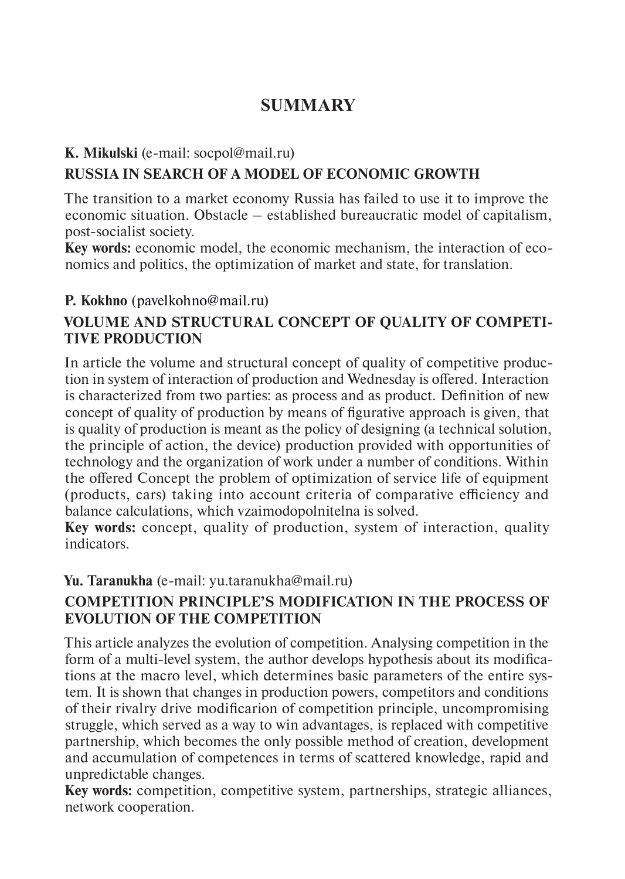# **SUMMARY**

#### **K. Mikulski** (e-mail: socpol@mail.ru)

# **RUSSIA IN SEARCH OF A MODEL OF ECONOMIC GROWTH**

The transition to a market economy Russia has failed to use it to improve the economic situation. Obstacle – established bureaucratic model of capitalism, post-socialist society.

**Key words:** economic model, the economic mechanism, the interaction of economics and politics, the optimization of market and state, for translation.

## **P. Kokhno** (pavelkohno@mail.ru)

## **VOLUME AND STRUCTURAL CONCEPT OF QUALITY OF COMPETI-TIVE PRODUCTION**

In article the volume and structural concept of quality of competitive production in system of interaction of production and Wednesday is offered. Interaction is characterized from two parties: as process and as product. Definition of new concept of quality of production by means of figurative approach is given, that is quality of production is meant as the policy of designing (a technical solution, the principle of action, the device) production provided with opportunities of technology and the organization of work under a number of conditions. Within the offered Concept the problem of optimization of service life of equipment (products, cars) taking into account criteria of comparative efficiency and balance calculations, which vzaimodopolnitelna is solved.

**Key words:** concept, quality of production, system of interaction, quality indicators.

#### **Yu. Taranukha** (е-mail: yu.taranukha@mail.ru)

## **COMPETITION PRINCIPLE'S MODIFICATION IN THE PROCESS OF EVOLUTION OF THE COMPETITION**

This article analyzes the evolution of competition. Analysing competition in the form of a multi-level system, the author develops hypothesis about its modifications at the macro level, which determines basic parameters of the entire system. It is shown that changes in production powers, competitors and conditions of their rivalry drive modificarion of competition principle, uncompromising struggle, which served as a way to win advantages, is replaced with competitive partnership, which becomes the only possible method of creation, development and accumulation of competences in terms of scattered knowledge, rapid and unpredictable changes.

**Key words:** competition, competitive system, partnerships, strategic alliances, network cooperation.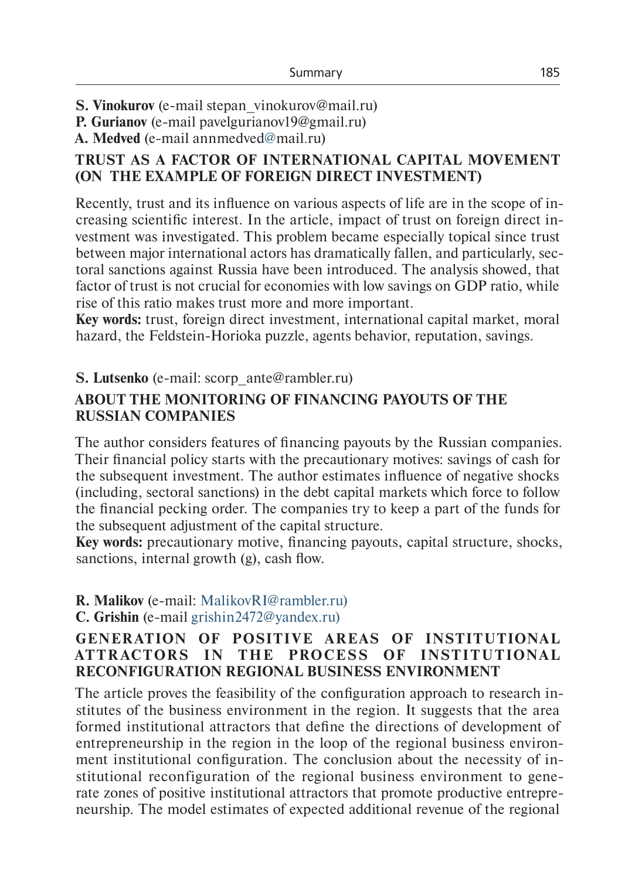**S. Vinokurov** (e-mail stepan vinokurov@mail.ru)

**P. Gurianov** (e-mail pavelgurianov19@gmail.ru)

**A. Medved** (e-mail annmedved@mail.ru)

### **TRUST AS A FACTOR OF INTERNATIONAL CAPITAL MOVEMENT (ON THE EXAMPLE OF FOREIGN DIRECT INVESTMENT)**

Recently, trust and its influence on various aspects of life are in the scope of increasing scientific interest. In the article, impact of trust on foreign direct investment was investigated. This problem became especially topical since trust between major international actors has dramatically fallen, and particularly, sectoral sanctions against Russia have been introduced. The analysis showed, that factor of trust is not crucial for economies with low savings on GDP ratio, while rise of this ratio makes trust more and more important.

**Key words:** trust, foreign direct investment, international capital market, moral hazard, the Feldstein-Horioka puzzle, agents behavior, reputation, savings.

## **S. Lutsenko** (e-mail: scorp\_ante@rambler.ru)

#### **ABOUT THE MONITORING OF FINANCING PAYOUTS OF THE RUSSIAN COMPANIES**

The author considers features of financing payouts by the Russian companies. Their financial policy starts with the precautionary motives: savings of cash for the subsequent investment. The author estimates influence of negative shocks (including, sectoral sanctions) in the debt capital markets which force to follow the financial pecking order. The companies try to keep a part of the funds for the subsequent adjustment of the capital structure.

**Key words:** precautionary motive, financing payouts, capital structure, shocks, sanctions, internal growth (g), cash flow.

# **R. Malikov** (e-mail: MalikovRI@rambler.ru)

**C. Grishin** (e-mail grishin2472@yandex.ru)

#### **GENERATION OF POSITIVE AREAS OF INSTITUTIONAL AT T R AC T OR S I N T H E PROCE SS OF I NST I T U T ION A L RECONFIGURATION REGIONAL BUSINESS ENVIRONMENT**

The article proves the feasibility of the configuration approach to research institutes of the business environment in the region. It suggests that the area formed institutional attractors that define the directions of development of entrepreneurship in the region in the loop of the regional business environment institutional configuration. The conclusion about the necessity of institutional reconfiguration of the regional business environment to generate zones of positive institutional attractors that promote productive entrepreneurship. The model estimates of expected additional revenue of the regional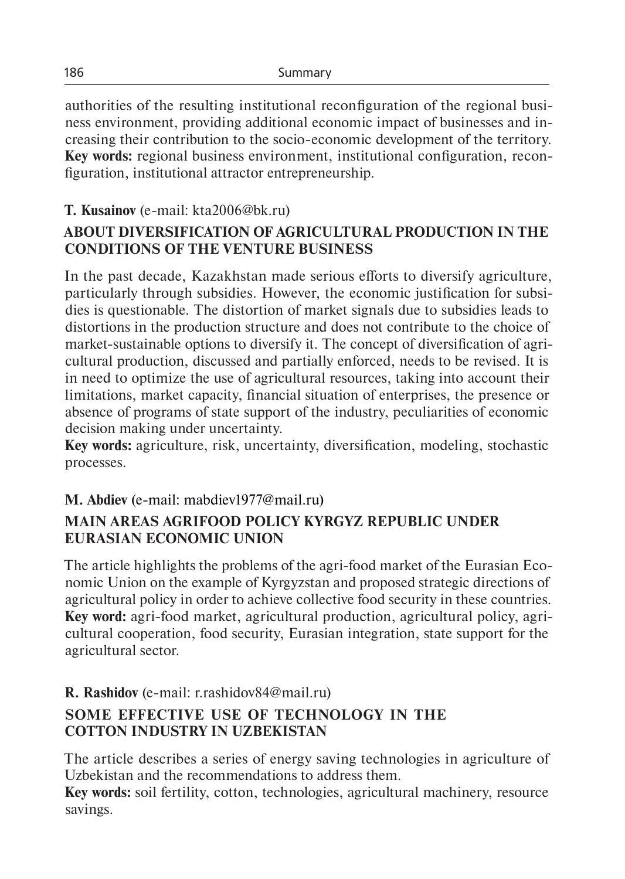authorities of the resulting institutional reconfiguration of the regional business environment, providing additional economic impact of businesses and increasing their contribution to the socio-economic development of the territory. **Key words:** regional business environment, institutional configuration, reconfiguration, institutional attractor entrepreneurship.

# **T. Kusainov** (е-mail: kta2006@bk.ru)

# **ABOUT DIVERSIFICATION OF AGRICULTURAL PRODUCTION IN THE CONDITIONS OF THE VENTURE BUSINESS**

In the past decade, Kazakhstan made serious efforts to diversify agriculture, particularly through subsidies. However, the economic justification for subsidies is questionable. The distortion of market signals due to subsidies leads to distortions in the production structure and does not contribute to the choice of market-sustainable options to diversify it. The concept of diversification of agricultural production, discussed and partially enforced, needs to be revised. It is in need to optimize the use of agricultural resources, taking into account their limitations, market capacity, financial situation of enterprises, the presence or absence of programs of state support of the industry, peculiarities of economic decision making under uncertainty.

**Key words:** agriculture, risk, uncertainty, diversification, modeling, stochastic processes.

## **М. Аbdiev** (e-mail: mabdiev1977@mail.ru)

## **MAIN AREAS AGRIFOOD POLICY KYRGYZ REPUBLIC UNDER EURASIAN ECONOMIC UNION**

The article highlights the problems of the agri-food market of the Eurasian Economic Union on the example of Kyrgyzstan and proposed strategic directions of agricultural policy in order to achieve collective food security in these countries. **Key word:** аgri-food market, agricultural production, agricultural policy, agricultural cooperation, food security, Eurasian integration, state support for the agricultural sector.

# **R. Rashidov** (e-mail: r.rashidov84@mail.ru)

# **SOME EFFECTIVE USE OF TECHNOLOGY IN THE COTTON INDUSTRY IN UZBEKISTAN**

The article describes a series of energy saving technologies in agriculture of Uzbekistan and the recommendations to address them.

**Key words:** soil fertility, cotton, technologies, agricultural machinery, resource savings.